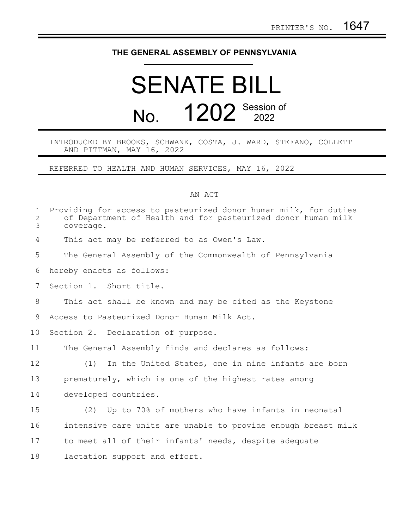## **THE GENERAL ASSEMBLY OF PENNSYLVANIA**

## SENATE BILL No. **1202** Session of

INTRODUCED BY BROOKS, SCHWANK, COSTA, J. WARD, STEFANO, COLLETT AND PITTMAN, MAY 16, 2022

REFERRED TO HEALTH AND HUMAN SERVICES, MAY 16, 2022

## AN ACT

| $\mathbf 1$<br>$\overline{c}$<br>3 | Providing for access to pasteurized donor human milk, for duties<br>of Department of Health and for pasteurized donor human milk<br>coverage. |
|------------------------------------|-----------------------------------------------------------------------------------------------------------------------------------------------|
| 4                                  | This act may be referred to as Owen's Law.                                                                                                    |
| 5                                  | The General Assembly of the Commonwealth of Pennsylvania                                                                                      |
| 6                                  | hereby enacts as follows:                                                                                                                     |
| 7                                  | Section 1. Short title.                                                                                                                       |
| 8                                  | This act shall be known and may be cited as the Keystone                                                                                      |
| 9                                  | Access to Pasteurized Donor Human Milk Act.                                                                                                   |
| 10                                 | Section 2. Declaration of purpose.                                                                                                            |
| 11                                 | The General Assembly finds and declares as follows:                                                                                           |
| 12                                 | In the United States, one in nine infants are born<br>(1)                                                                                     |
| 13                                 | prematurely, which is one of the highest rates among                                                                                          |
| 14                                 | developed countries.                                                                                                                          |
| 15                                 | Up to 70% of mothers who have infants in neonatal<br>(2)                                                                                      |
| 16                                 | intensive care units are unable to provide enough breast milk                                                                                 |
| 17                                 | to meet all of their infants' needs, despite adequate                                                                                         |
| 18                                 | lactation support and effort.                                                                                                                 |
|                                    |                                                                                                                                               |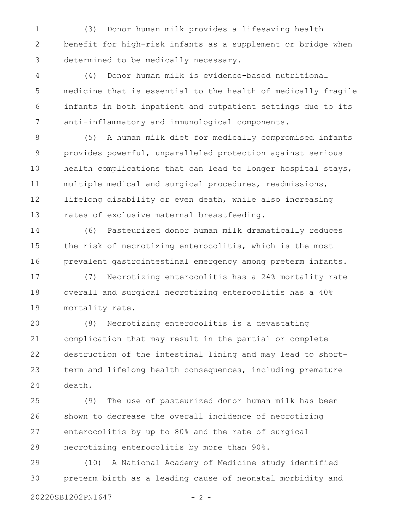(3) Donor human milk provides a lifesaving health benefit for high-risk infants as a supplement or bridge when determined to be medically necessary. 1 2 3

(4) Donor human milk is evidence-based nutritional medicine that is essential to the health of medically fragile infants in both inpatient and outpatient settings due to its anti-inflammatory and immunological components. 4 5 6 7

(5) A human milk diet for medically compromised infants provides powerful, unparalleled protection against serious health complications that can lead to longer hospital stays, multiple medical and surgical procedures, readmissions, lifelong disability or even death, while also increasing rates of exclusive maternal breastfeeding. 8 9 10 11 12 13

(6) Pasteurized donor human milk dramatically reduces the risk of necrotizing enterocolitis, which is the most prevalent gastrointestinal emergency among preterm infants. 14 15 16

(7) Necrotizing enterocolitis has a 24% mortality rate overall and surgical necrotizing enterocolitis has a 40% mortality rate. 17 18 19

(8) Necrotizing enterocolitis is a devastating complication that may result in the partial or complete destruction of the intestinal lining and may lead to shortterm and lifelong health consequences, including premature death. 20 21 22 23 24

(9) The use of pasteurized donor human milk has been shown to decrease the overall incidence of necrotizing enterocolitis by up to 80% and the rate of surgical necrotizing enterocolitis by more than 90%. 25 26 27 28

(10) A National Academy of Medicine study identified preterm birth as a leading cause of neonatal morbidity and 29 30

20220SB1202PN1647 - 2 -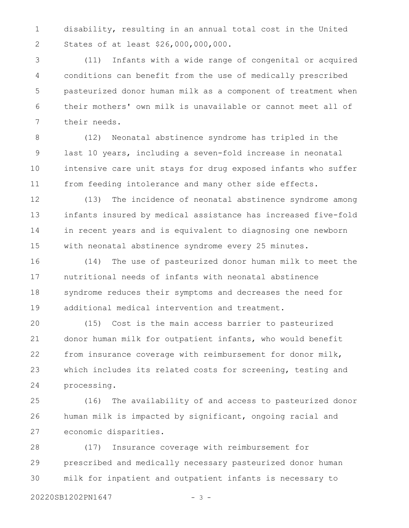disability, resulting in an annual total cost in the United States of at least \$26,000,000,000. 1 2

(11) Infants with a wide range of congenital or acquired conditions can benefit from the use of medically prescribed pasteurized donor human milk as a component of treatment when their mothers' own milk is unavailable or cannot meet all of their needs. 3 4 5 6 7

(12) Neonatal abstinence syndrome has tripled in the last 10 years, including a seven-fold increase in neonatal intensive care unit stays for drug exposed infants who suffer from feeding intolerance and many other side effects. 8 9 10 11

(13) The incidence of neonatal abstinence syndrome among infants insured by medical assistance has increased five-fold in recent years and is equivalent to diagnosing one newborn with neonatal abstinence syndrome every 25 minutes. 12 13 14 15

(14) The use of pasteurized donor human milk to meet the nutritional needs of infants with neonatal abstinence syndrome reduces their symptoms and decreases the need for additional medical intervention and treatment. 16 17 18 19

(15) Cost is the main access barrier to pasteurized donor human milk for outpatient infants, who would benefit from insurance coverage with reimbursement for donor milk, which includes its related costs for screening, testing and processing. 20 21 22 23 24

(16) The availability of and access to pasteurized donor human milk is impacted by significant, ongoing racial and economic disparities. 25 26 27

(17) Insurance coverage with reimbursement for prescribed and medically necessary pasteurized donor human milk for inpatient and outpatient infants is necessary to 28 29 30

20220SB1202PN1647 - 3 -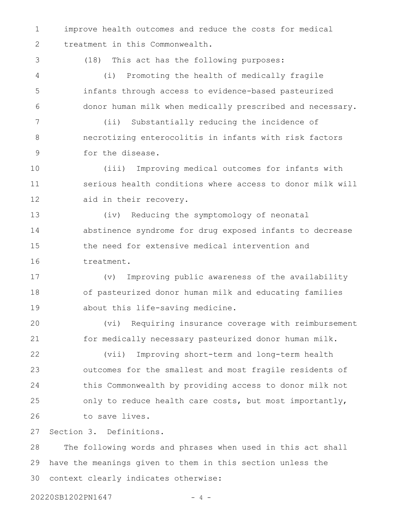improve health outcomes and reduce the costs for medical treatment in this Commonwealth. 1 2

3

(18) This act has the following purposes:

(i) Promoting the health of medically fragile infants through access to evidence-based pasteurized donor human milk when medically prescribed and necessary. 4 5 6

(ii) Substantially reducing the incidence of necrotizing enterocolitis in infants with risk factors for the disease. 7 8 9

(iii) Improving medical outcomes for infants with serious health conditions where access to donor milk will aid in their recovery. 10 11 12

(iv) Reducing the symptomology of neonatal abstinence syndrome for drug exposed infants to decrease the need for extensive medical intervention and treatment. 13 14 15 16

(v) Improving public awareness of the availability of pasteurized donor human milk and educating families about this life-saving medicine. 17 18 19

(vi) Requiring insurance coverage with reimbursement for medically necessary pasteurized donor human milk. 20 21

(vii) Improving short-term and long-term health outcomes for the smallest and most fragile residents of this Commonwealth by providing access to donor milk not only to reduce health care costs, but most importantly, to save lives. 22 23 24 25 26

Section 3. Definitions. 27

The following words and phrases when used in this act shall have the meanings given to them in this section unless the context clearly indicates otherwise: 28 29 30

20220SB1202PN1647 - 4 -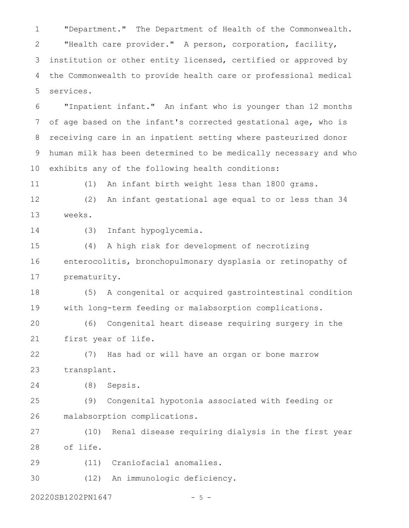"Department." The Department of Health of the Commonwealth. "Health care provider." A person, corporation, facility, institution or other entity licensed, certified or approved by the Commonwealth to provide health care or professional medical services. 1 2 3 4 5

"Inpatient infant." An infant who is younger than 12 months of age based on the infant's corrected gestational age, who is receiving care in an inpatient setting where pasteurized donor human milk has been determined to be medically necessary and who exhibits any of the following health conditions: 6 7 8 9 10

(1) An infant birth weight less than 1800 grams. 11

(2) An infant gestational age equal to or less than 34 weeks. 12 13

14

(3) Infant hypoglycemia.

(4) A high risk for development of necrotizing enterocolitis, bronchopulmonary dysplasia or retinopathy of prematurity. 15 16 17

(5) A congenital or acquired gastrointestinal condition with long-term feeding or malabsorption complications. 18 19

(6) Congenital heart disease requiring surgery in the first year of life. 20 21

(7) Has had or will have an organ or bone marrow transplant. 22 23

(8) Sepsis. 24

(9) Congenital hypotonia associated with feeding or malabsorption complications. 25 26

(10) Renal disease requiring dialysis in the first year of life. 27 28

(11) Craniofacial anomalies. 29

(12) An immunologic deficiency. 30

20220SB1202PN1647 - 5 -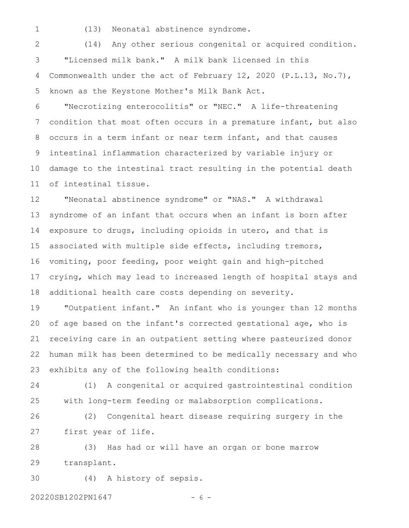1

(13) Neonatal abstinence syndrome.

(14) Any other serious congenital or acquired condition. "Licensed milk bank." A milk bank licensed in this Commonwealth under the act of February 12, 2020 (P.L.13, No.7), known as the Keystone Mother's Milk Bank Act. 2 3 4 5

"Necrotizing enterocolitis" or "NEC." A life-threatening condition that most often occurs in a premature infant, but also occurs in a term infant or near term infant, and that causes intestinal inflammation characterized by variable injury or damage to the intestinal tract resulting in the potential death of intestinal tissue. 6 7 8 9 10 11

"Neonatal abstinence syndrome" or "NAS." A withdrawal syndrome of an infant that occurs when an infant is born after exposure to drugs, including opioids in utero, and that is associated with multiple side effects, including tremors, vomiting, poor feeding, poor weight gain and high-pitched crying, which may lead to increased length of hospital stays and additional health care costs depending on severity. 12 13 14 15 16 17 18

"Outpatient infant." An infant who is younger than 12 months of age based on the infant's corrected gestational age, who is receiving care in an outpatient setting where pasteurized donor human milk has been determined to be medically necessary and who exhibits any of the following health conditions: 19 20 21 22 23

(1) A congenital or acquired gastrointestinal condition with long-term feeding or malabsorption complications. 24 25

(2) Congenital heart disease requiring surgery in the first year of life. 26 27

(3) Has had or will have an organ or bone marrow transplant. 28 29

(4) A history of sepsis. 30

20220SB1202PN1647 - 6 -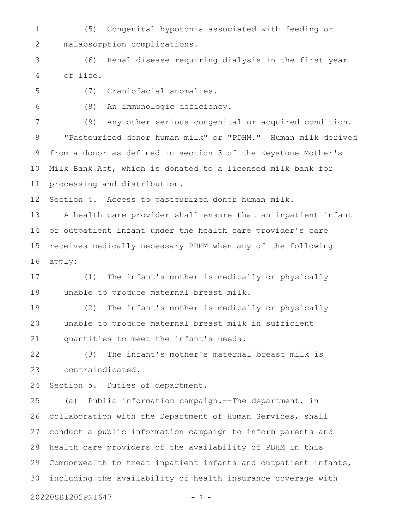(5) Congenital hypotonia associated with feeding or malabsorption complications. 1 2

(6) Renal disease requiring dialysis in the first year of life. 3 4

5

(7) Craniofacial anomalies.

6

(8) An immunologic deficiency.

(9) Any other serious congenital or acquired condition. "Pasteurized donor human milk" or "PDHM." Human milk derived from a donor as defined in section 3 of the Keystone Mother's Milk Bank Act, which is donated to a licensed milk bank for processing and distribution. 7 8 9 10 11

Section 4. Access to pasteurized donor human milk. 12

A health care provider shall ensure that an inpatient infant or outpatient infant under the health care provider's care receives medically necessary PDHM when any of the following apply: 13 14 15 16

(1) The infant's mother is medically or physically unable to produce maternal breast milk. 17 18

(2) The infant's mother is medically or physically unable to produce maternal breast milk in sufficient quantities to meet the infant's needs. 19 20 21

(3) The infant's mother's maternal breast milk is contraindicated. 22 23

Section 5. Duties of department. 24

(a) Public information campaign.--The department, in collaboration with the Department of Human Services, shall conduct a public information campaign to inform parents and health care providers of the availability of PDHM in this Commonwealth to treat inpatient infants and outpatient infants, including the availability of health insurance coverage with 25 26 27 28 29 30

20220SB1202PN1647 - 7 -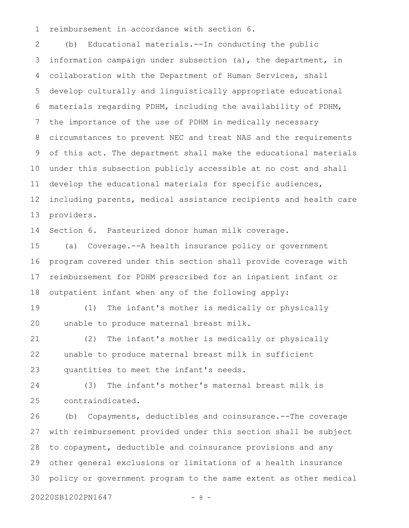reimbursement in accordance with section 6. 1

(b) Educational materials.--In conducting the public information campaign under subsection (a), the department, in collaboration with the Department of Human Services, shall develop culturally and linguistically appropriate educational materials regarding PDHM, including the availability of PDHM, the importance of the use of PDHM in medically necessary circumstances to prevent NEC and treat NAS and the requirements of this act. The department shall make the educational materials under this subsection publicly accessible at no cost and shall develop the educational materials for specific audiences, including parents, medical assistance recipients and health care providers. 2 3 4 5 6 7 8 9 10 11 12 13

Section 6. Pasteurized donor human milk coverage. 14

(a) Coverage.--A health insurance policy or government program covered under this section shall provide coverage with reimbursement for PDHM prescribed for an inpatient infant or outpatient infant when any of the following apply: 15 16 17 18

(1) The infant's mother is medically or physically unable to produce maternal breast milk. 19 20

(2) The infant's mother is medically or physically unable to produce maternal breast milk in sufficient quantities to meet the infant's needs. 21 22 23

(3) The infant's mother's maternal breast milk is contraindicated. 24 25

(b) Copayments, deductibles and coinsurance.--The coverage with reimbursement provided under this section shall be subject to copayment, deductible and coinsurance provisions and any other general exclusions or limitations of a health insurance policy or government program to the same extent as other medical 26 27 28 29 30

20220SB1202PN1647 - 8 -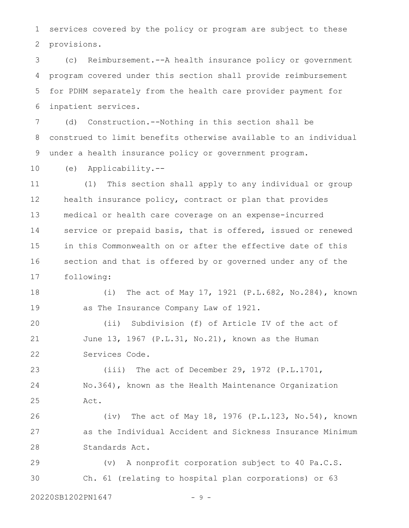services covered by the policy or program are subject to these provisions. 1 2

(c) Reimbursement.--A health insurance policy or government program covered under this section shall provide reimbursement for PDHM separately from the health care provider payment for inpatient services. 3 4 5 6

(d) Construction.--Nothing in this section shall be construed to limit benefits otherwise available to an individual under a health insurance policy or government program. 7 8 9

(e) Applicability.-- 10

(1) This section shall apply to any individual or group health insurance policy, contract or plan that provides medical or health care coverage on an expense-incurred service or prepaid basis, that is offered, issued or renewed in this Commonwealth on or after the effective date of this section and that is offered by or governed under any of the following: 11 12 13 14 15 16 17

(i) The act of May 17, 1921 (P.L.682, No.284), known as The Insurance Company Law of 1921. 18 19

(ii) Subdivision (f) of Article IV of the act of June 13, 1967 (P.L.31, No.21), known as the Human Services Code. 20 21 22

(iii) The act of December 29, 1972 (P.L.1701, No.364), known as the Health Maintenance Organization Act. 23 24 25

(iv) The act of May 18, 1976 (P.L.123, No.54), known as the Individual Accident and Sickness Insurance Minimum Standards Act. 26 27 28

(v) A nonprofit corporation subject to 40 Pa.C.S. Ch. 61 (relating to hospital plan corporations) or 63 29 30

20220SB1202PN1647 - 9 -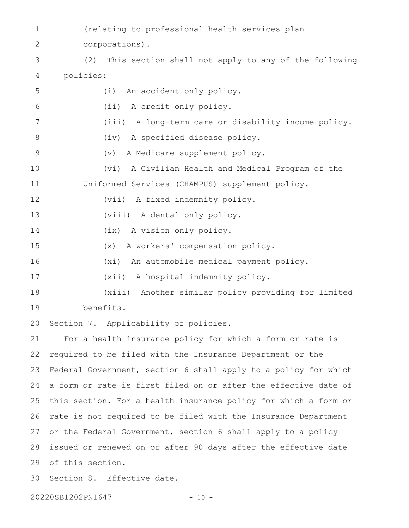- (relating to professional health services plan corporations). 1 2
- (2) This section shall not apply to any of the following policies: 4 3

| 5           | An accident only policy.<br>(i)                                    |
|-------------|--------------------------------------------------------------------|
| 6           | A credit only policy.<br>(iii)                                     |
| 7           | (iii) A long-term care or disability income policy.                |
| 8           | (iv) A specified disease policy.                                   |
| $\mathsf 9$ | A Medicare supplement policy.<br>$(\triangledown)$                 |
| 10          | (vi)<br>A Civilian Health and Medical Program of the               |
| 11          | Uniformed Services (CHAMPUS) supplement policy.                    |
| 12          | (vii) A fixed indemnity policy.                                    |
| 13          | (viii) A dental only policy.                                       |
| 14          | (ix) A vision only policy.                                         |
| 15          | (x) A workers' compensation policy.                                |
| 16          | (xi) An automobile medical payment policy.                         |
| 17          | (xii) A hospital indemnity policy.                                 |
| 18          | (xiii) Another similar policy providing for limited                |
| 19          | benefits.                                                          |
| 20          | Section 7. Applicability of policies.                              |
| 21          | For a health insurance policy for which a form or rate is          |
| 22          | required to be filed with the Insurance Department or the          |
| 23          | Federal Government, section 6 shall apply to a policy for which    |
|             | 24 a form or rate is first filed on or after the effective date of |
| 25          | this section. For a health insurance policy for which a form or    |
| 26          | rate is not required to be filed with the Insurance Department     |
| 27          | or the Federal Government, section 6 shall apply to a policy       |
| 28          | issued or renewed on or after 90 days after the effective date     |
| 29          | of this section.                                                   |
| 30          | Section 8. Effective date.                                         |
|             |                                                                    |

20220SB1202PN1647 - 10 -